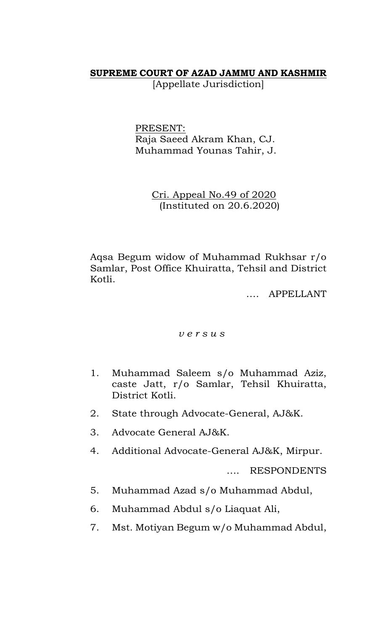## **SUPREME COURT OF AZAD JAMMU AND KASHMIR**

[Appellate Jurisdiction]

PRESENT: Raja Saeed Akram Khan, CJ. Muhammad Younas Tahir, J.

> Cri. Appeal No.49 of 2020 (Instituted on 20.6.2020)

Aqsa Begum widow of Muhammad Rukhsar r/o Samlar, Post Office Khuiratta, Tehsil and District Kotli.

…. APPELLANT

## *v e r s u s*

- 1. Muhammad Saleem s/o Muhammad Aziz, caste Jatt, r/o Samlar, Tehsil Khuiratta, District Kotli.
- 2. State through Advocate-General, AJ&K.
- 3. Advocate General AJ&K.
- 4. Additional Advocate-General AJ&K, Mirpur.

…. RESPONDENTS

- 5. Muhammad Azad s/o Muhammad Abdul,
- 6. Muhammad Abdul s/o Liaquat Ali,
- 7. Mst. Motiyan Begum w/o Muhammad Abdul,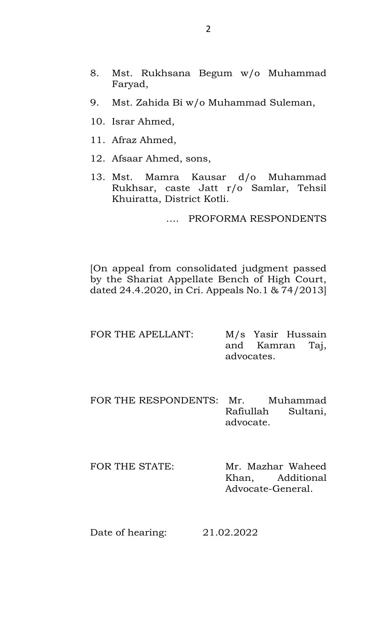- 8. Mst. Rukhsana Begum w/o Muhammad Faryad,
- 9. Mst. Zahida Bi w/o Muhammad Suleman,
- 10. Israr Ahmed,
- 11. Afraz Ahmed,
- 12. Afsaar Ahmed, sons,
- 13. Mst. Mamra Kausar d/o Muhammad Rukhsar, caste Jatt r/o Samlar, Tehsil Khuiratta, District Kotli.

…. PROFORMA RESPONDENTS

[On appeal from consolidated judgment passed by the Shariat Appellate Bench of High Court, dated 24.4.2020, in Cri. Appeals No.1 & 74/2013]

| FOR THE APELLANT: |            | M/s Yasir Hussain |  |
|-------------------|------------|-------------------|--|
|                   |            | and Kamran Taj,   |  |
|                   | advocates. |                   |  |

- FOR THE RESPONDENTS: Mr. Muhammad Rafiullah Sultani, advocate.
- FOR THE STATE: Mr. Mazhar Waheed Khan, Additional Advocate-General.

Date of hearing: 21.02.2022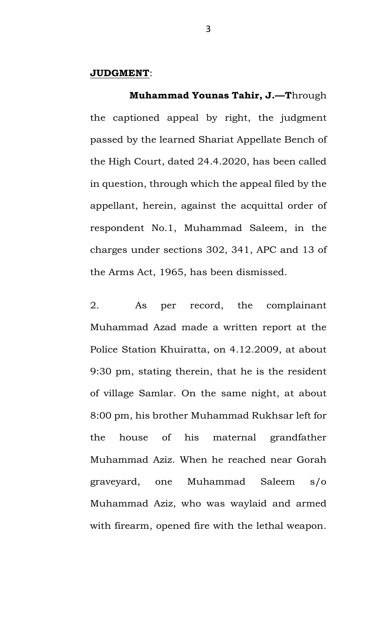## **JUDGMENT**:

 **Muhammad Younas Tahir, J.—T**hrough the captioned appeal by right, the judgment passed by the learned Shariat Appellate Bench of the High Court, dated 24.4.2020, has been called in question, through which the appeal filed by the appellant, herein, against the acquittal order of respondent No.1, Muhammad Saleem, in the charges under sections 302, 341, APC and 13 of the Arms Act, 1965, has been dismissed.

2. As per record, the complainant Muhammad Azad made a written report at the Police Station Khuiratta, on 4.12.2009, at about 9:30 pm, stating therein, that he is the resident of village Samlar. On the same night, at about 8:00 pm, his brother Muhammad Rukhsar left for the house of his maternal grandfather Muhammad Aziz. When he reached near Gorah graveyard, one Muhammad Saleem s/o Muhammad Aziz, who was waylaid and armed with firearm, opened fire with the lethal weapon.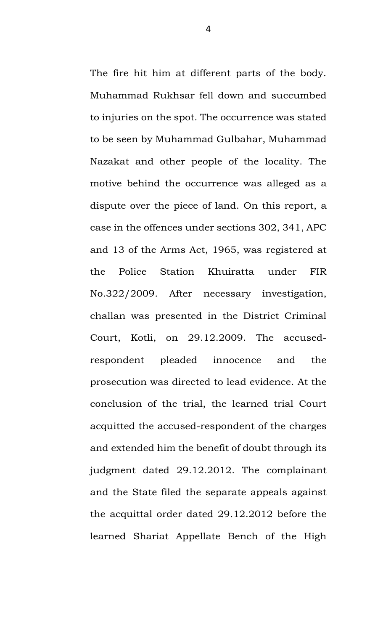The fire hit him at different parts of the body. Muhammad Rukhsar fell down and succumbed to injuries on the spot. The occurrence was stated to be seen by Muhammad Gulbahar, Muhammad Nazakat and other people of the locality. The motive behind the occurrence was alleged as a dispute over the piece of land. On this report, a case in the offences under sections 302, 341, APC and 13 of the Arms Act, 1965, was registered at the Police Station Khuiratta under FIR No.322/2009. After necessary investigation, challan was presented in the District Criminal Court, Kotli, on 29.12.2009. The accusedrespondent pleaded innocence and the prosecution was directed to lead evidence. At the conclusion of the trial, the learned trial Court acquitted the accused-respondent of the charges and extended him the benefit of doubt through its judgment dated 29.12.2012. The complainant and the State filed the separate appeals against the acquittal order dated 29.12.2012 before the learned Shariat Appellate Bench of the High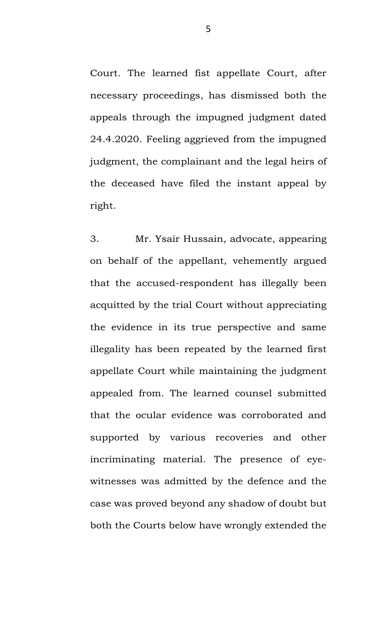Court. The learned fist appellate Court, after necessary proceedings, has dismissed both the appeals through the impugned judgment dated 24.4.2020. Feeling aggrieved from the impugned judgment, the complainant and the legal heirs of the deceased have filed the instant appeal by right.

3. Mr. Ysair Hussain, advocate, appearing on behalf of the appellant, vehemently argued that the accused-respondent has illegally been acquitted by the trial Court without appreciating the evidence in its true perspective and same illegality has been repeated by the learned first appellate Court while maintaining the judgment appealed from. The learned counsel submitted that the ocular evidence was corroborated and supported by various recoveries and other incriminating material. The presence of eyewitnesses was admitted by the defence and the case was proved beyond any shadow of doubt but both the Courts below have wrongly extended the

5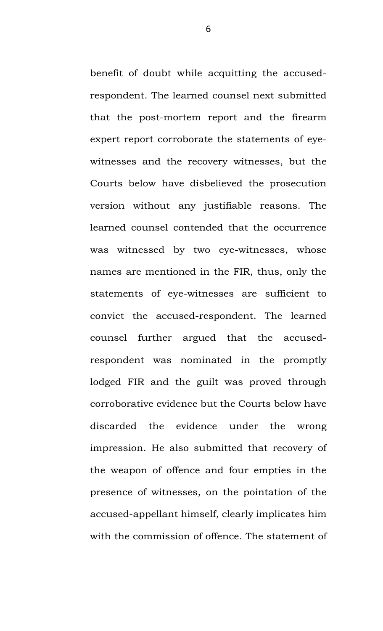benefit of doubt while acquitting the accusedrespondent. The learned counsel next submitted that the post-mortem report and the firearm expert report corroborate the statements of eyewitnesses and the recovery witnesses, but the Courts below have disbelieved the prosecution version without any justifiable reasons. The learned counsel contended that the occurrence was witnessed by two eye-witnesses, whose names are mentioned in the FIR, thus, only the statements of eye-witnesses are sufficient to convict the accused-respondent. The learned counsel further argued that the accusedrespondent was nominated in the promptly lodged FIR and the guilt was proved through corroborative evidence but the Courts below have discarded the evidence under the wrong impression. He also submitted that recovery of the weapon of offence and four empties in the presence of witnesses, on the pointation of the accused-appellant himself, clearly implicates him with the commission of offence. The statement of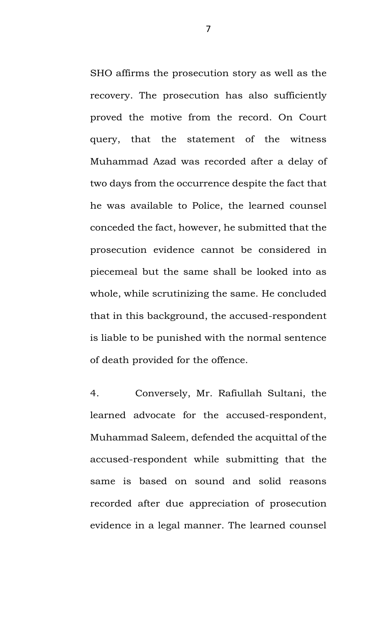SHO affirms the prosecution story as well as the recovery. The prosecution has also sufficiently proved the motive from the record. On Court query, that the statement of the witness Muhammad Azad was recorded after a delay of two days from the occurrence despite the fact that he was available to Police, the learned counsel conceded the fact, however, he submitted that the prosecution evidence cannot be considered in piecemeal but the same shall be looked into as whole, while scrutinizing the same. He concluded that in this background, the accused-respondent is liable to be punished with the normal sentence of death provided for the offence.

4. Conversely, Mr. Rafiullah Sultani, the learned advocate for the accused-respondent, Muhammad Saleem, defended the acquittal of the accused-respondent while submitting that the same is based on sound and solid reasons recorded after due appreciation of prosecution evidence in a legal manner. The learned counsel

7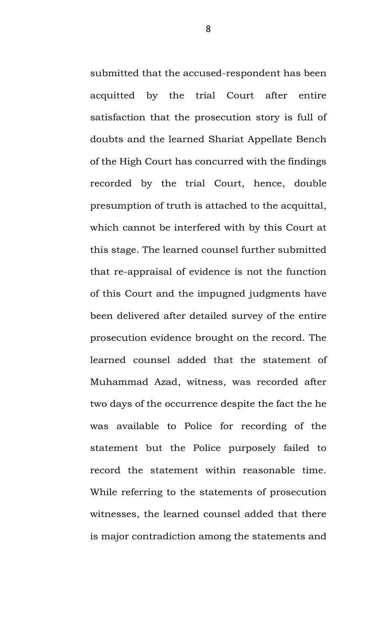submitted that the accused-respondent has been acquitted by the trial Court after entire satisfaction that the prosecution story is full of doubts and the learned Shariat Appellate Bench of the High Court has concurred with the findings recorded by the trial Court, hence, double presumption of truth is attached to the acquittal, which cannot be interfered with by this Court at this stage. The learned counsel further submitted that re-appraisal of evidence is not the function of this Court and the impugned judgments have been delivered after detailed survey of the entire prosecution evidence brought on the record. The learned counsel added that the statement of Muhammad Azad, witness, was recorded after two days of the occurrence despite the fact the he was available to Police for recording of the statement but the Police purposely failed to record the statement within reasonable time. While referring to the statements of prosecution witnesses, the learned counsel added that there is major contradiction among the statements and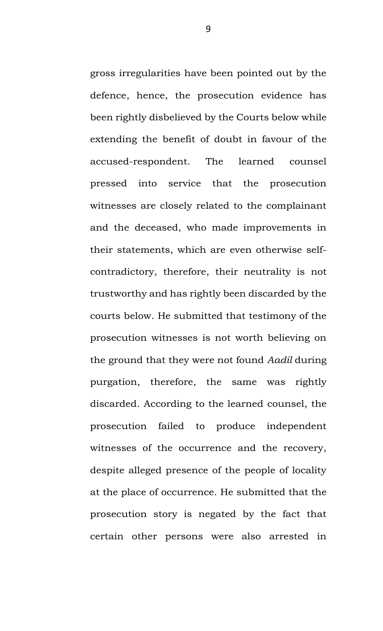gross irregularities have been pointed out by the defence, hence, the prosecution evidence has been rightly disbelieved by the Courts below while extending the benefit of doubt in favour of the accused-respondent. The learned counsel pressed into service that the prosecution witnesses are closely related to the complainant and the deceased, who made improvements in their statements, which are even otherwise selfcontradictory, therefore, their neutrality is not trustworthy and has rightly been discarded by the courts below. He submitted that testimony of the prosecution witnesses is not worth believing on the ground that they were not found *Aadil* during purgation, therefore, the same was rightly discarded. According to the learned counsel, the prosecution failed to produce independent witnesses of the occurrence and the recovery, despite alleged presence of the people of locality at the place of occurrence. He submitted that the prosecution story is negated by the fact that certain other persons were also arrested in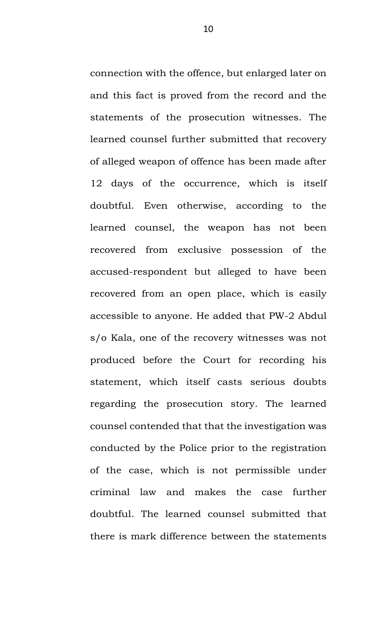connection with the offence, but enlarged later on and this fact is proved from the record and the statements of the prosecution witnesses. The learned counsel further submitted that recovery of alleged weapon of offence has been made after 12 days of the occurrence, which is itself doubtful. Even otherwise, according to the learned counsel, the weapon has not been recovered from exclusive possession of the accused-respondent but alleged to have been recovered from an open place, which is easily accessible to anyone. He added that PW-2 Abdul s/o Kala, one of the recovery witnesses was not produced before the Court for recording his statement, which itself casts serious doubts regarding the prosecution story. The learned counsel contended that that the investigation was conducted by the Police prior to the registration of the case, which is not permissible under criminal law and makes the case further doubtful. The learned counsel submitted that there is mark difference between the statements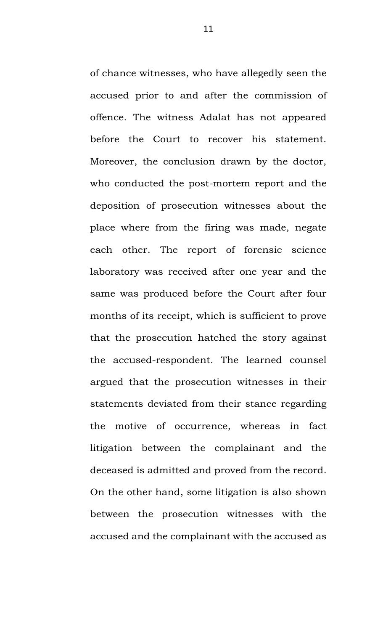of chance witnesses, who have allegedly seen the accused prior to and after the commission of offence. The witness Adalat has not appeared before the Court to recover his statement. Moreover, the conclusion drawn by the doctor, who conducted the post-mortem report and the deposition of prosecution witnesses about the place where from the firing was made, negate each other. The report of forensic science laboratory was received after one year and the same was produced before the Court after four months of its receipt, which is sufficient to prove that the prosecution hatched the story against the accused-respondent. The learned counsel argued that the prosecution witnesses in their statements deviated from their stance regarding the motive of occurrence, whereas in fact litigation between the complainant and the deceased is admitted and proved from the record. On the other hand, some litigation is also shown between the prosecution witnesses with the accused and the complainant with the accused as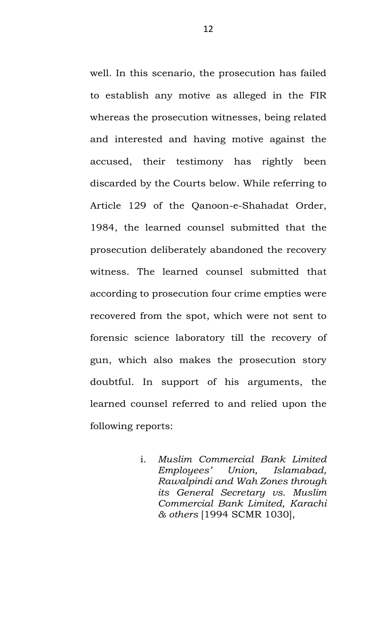well. In this scenario, the prosecution has failed to establish any motive as alleged in the FIR whereas the prosecution witnesses, being related and interested and having motive against the accused, their testimony has rightly been discarded by the Courts below. While referring to Article 129 of the Qanoon-e-Shahadat Order, 1984, the learned counsel submitted that the prosecution deliberately abandoned the recovery witness. The learned counsel submitted that according to prosecution four crime empties were recovered from the spot, which were not sent to forensic science laboratory till the recovery of gun, which also makes the prosecution story doubtful. In support of his arguments, the learned counsel referred to and relied upon the following reports:

> i. *Muslim Commercial Bank Limited Employees' Union, Islamabad, Rawalpindi and Wah Zones through its General Secretary vs. Muslim Commercial Bank Limited, Karachi & others* [1994 SCMR 1030],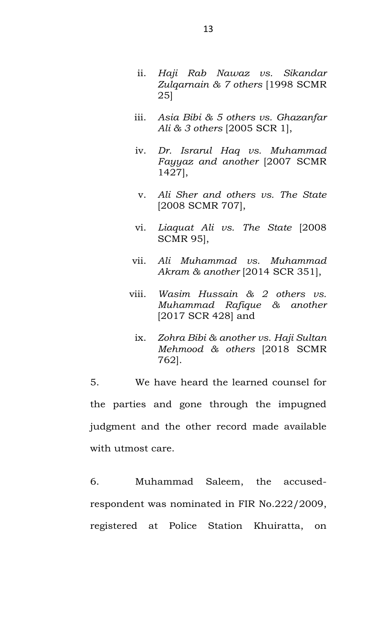- ii. *Haji Rab Nawaz vs. Sikandar Zulqarnain & 7 others* [1998 SCMR 25]
- iii. *Asia Bibi & 5 others vs. Ghazanfar Ali & 3 others* [2005 SCR 1],
- iv. *Dr. Israrul Haq vs. Muhammad Fayyaz and another* [2007 SCMR 1427],
- v. *Ali Sher and others vs. The State*  [2008 SCMR 707],
- vi. *Liaquat Ali vs. The State* [2008 SCMR 95],
- vii. *Ali Muhammad vs. Muhammad Akram & another* [2014 SCR 351],
- viii. *Wasim Hussain & 2 others vs. Muhammad Rafique & another*  [2017 SCR 428] and
	- ix. *Zohra Bibi & another vs. Haji Sultan Mehmood & others* [2018 SCMR 762].

5. We have heard the learned counsel for the parties and gone through the impugned judgment and the other record made available with utmost care.

6. Muhammad Saleem, the accusedrespondent was nominated in FIR No.222/2009, registered at Police Station Khuiratta, on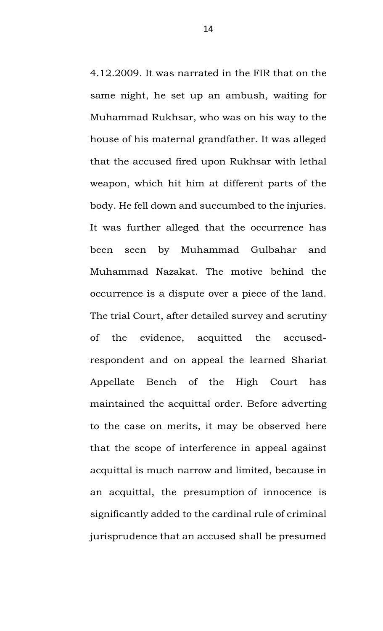4.12.2009. It was narrated in the FIR that on the same night, he set up an ambush, waiting for Muhammad Rukhsar, who was on his way to the house of his maternal grandfather. It was alleged that the accused fired upon Rukhsar with lethal weapon, which hit him at different parts of the body. He fell down and succumbed to the injuries. It was further alleged that the occurrence has been seen by Muhammad Gulbahar and Muhammad Nazakat. The motive behind the occurrence is a dispute over a piece of the land. The trial Court, after detailed survey and scrutiny of the evidence, acquitted the accusedrespondent and on appeal the learned Shariat Appellate Bench of the High Court has maintained the acquittal order. Before adverting to the case on merits, it may be observed here that the scope of interference in appeal against acquittal is much narrow and limited, because in an acquittal, the presumption of innocence is significantly added to the cardinal rule of criminal jurisprudence that an accused shall be presumed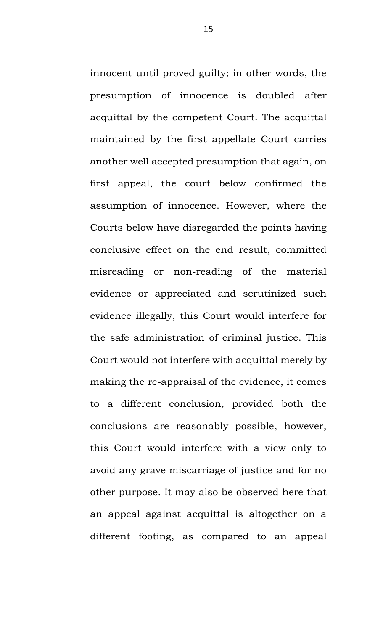innocent until proved guilty; in other words, the presumption of innocence is doubled after acquittal by the competent Court. The acquittal maintained by the first appellate Court carries another well accepted presumption that again, on first appeal, the court below confirmed the assumption of innocence. However, where the Courts below have disregarded the points having conclusive effect on the end result, committed misreading or non-reading of the material evidence or appreciated and scrutinized such evidence illegally, this Court would interfere for the safe administration of criminal justice. This Court would not interfere with acquittal merely by making the re-appraisal of the evidence, it comes to a different conclusion, provided both the conclusions are reasonably possible, however, this Court would interfere with a view only to avoid any grave miscarriage of justice and for no other purpose. It may also be observed here that an appeal against acquittal is altogether on a different footing, as compared to an appeal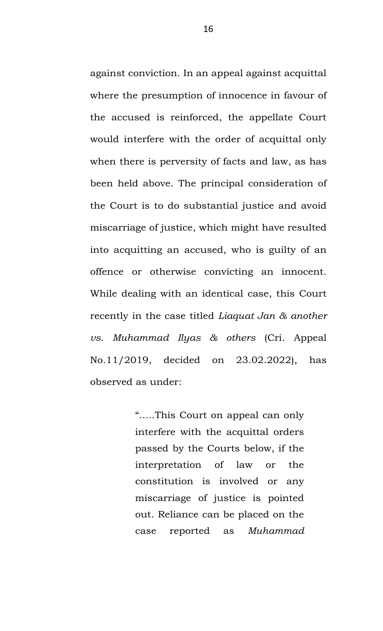against conviction. In an appeal against acquittal where the presumption of innocence in favour of the accused is reinforced, the appellate Court would interfere with the order of acquittal only when there is perversity of facts and law, as has been held above. The principal consideration of the Court is to do substantial justice and avoid miscarriage of justice, which might have resulted into acquitting an accused, who is guilty of an offence or otherwise convicting an innocent. While dealing with an identical case, this Court recently in the case titled *Liaquat Jan & another vs. Muhammad Ilyas & others* (Cri. Appeal No.11/2019, decided on 23.02.2022), has observed as under:

> ".....This Court on appeal can only interfere with the acquittal orders passed by the Courts below, if the interpretation of law or the constitution is involved or any miscarriage of justice is pointed out. Reliance can be placed on the case reported as *Muhammad*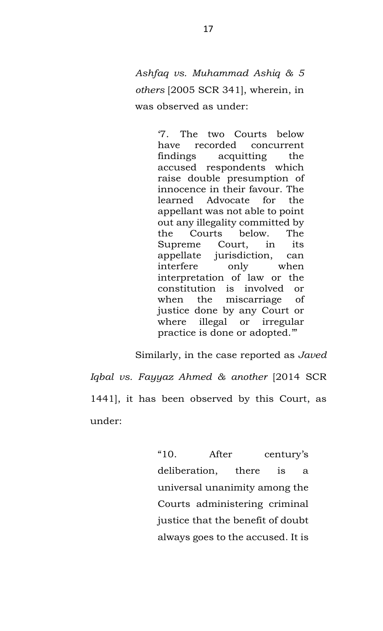*Ashfaq vs. Muhammad Ashiq & 5 others* [2005 SCR 341], wherein, in was observed as under:

> '7. The two Courts below have recorded concurrent findings acquitting the accused respondents which raise double presumption of innocence in their favour. The learned Advocate for the appellant was not able to point out any illegality committed by the Courts below. The Supreme Court, in its appellate jurisdiction, can interfere only when interpretation of law or the constitution is involved or when the miscarriage of justice done by any Court or where illegal or irregular practice is done or adopted.'"

Similarly, in the case reported as *Javed Iqbal vs. Fayyaz Ahmed & another* [2014 SCR 1441], it has been observed by this Court, as under:

> "10. After century's deliberation, there is a universal unanimity among the Courts administering criminal justice that the benefit of doubt always goes to the accused. It is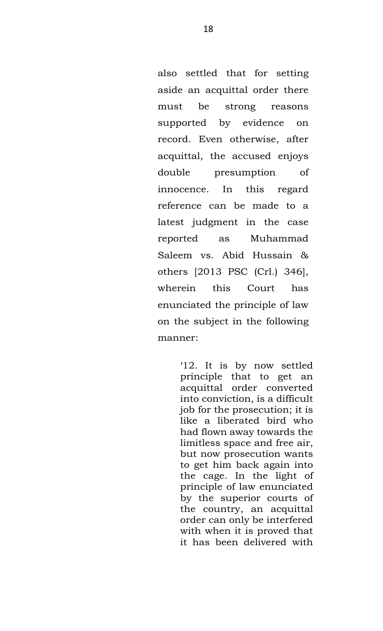also settled that for setting aside an acquittal order there must be strong reasons supported by evidence on record. Even otherwise, after acquittal, the accused enjoys double presumption of innocence. In this regard reference can be made to a latest judgment in the case reported as Muhammad Saleem vs. Abid Hussain & others [2013 PSC (Crl.) 346], wherein this Court has enunciated the principle of law on the subject in the following manner:

> '12. It is by now settled principle that to get an acquittal order converted into conviction, is a difficult job for the prosecution; it is like a liberated bird who had flown away towards the limitless space and free air, but now prosecution wants to get him back again into the cage. In the light of principle of law enunciated by the superior courts of the country, an acquittal order can only be interfered with when it is proved that it has been delivered with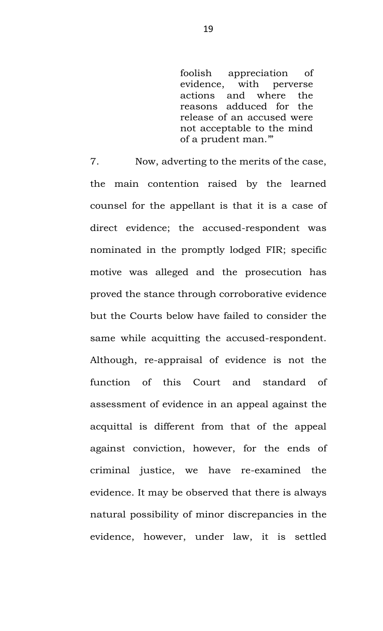foolish appreciation of evidence, with perverse actions and where the reasons adduced for the release of an accused were not acceptable to the mind of a prudent man.'"

7. Now, adverting to the merits of the case, the main contention raised by the learned counsel for the appellant is that it is a case of direct evidence; the accused-respondent was nominated in the promptly lodged FIR; specific motive was alleged and the prosecution has proved the stance through corroborative evidence but the Courts below have failed to consider the same while acquitting the accused-respondent. Although, re-appraisal of evidence is not the function of this Court and standard of assessment of evidence in an appeal against the acquittal is different from that of the appeal against conviction, however, for the ends of criminal justice, we have re-examined the evidence. It may be observed that there is always natural possibility of minor discrepancies in the evidence, however, under law, it is settled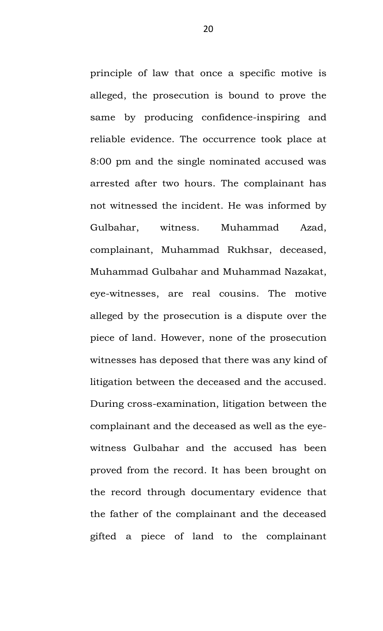principle of law that once a specific motive is alleged, the prosecution is bound to prove the same by producing confidence-inspiring and reliable evidence. The occurrence took place at 8:00 pm and the single nominated accused was arrested after two hours. The complainant has not witnessed the incident. He was informed by Gulbahar, witness. Muhammad Azad, complainant, Muhammad Rukhsar, deceased, Muhammad Gulbahar and Muhammad Nazakat, eye-witnesses, are real cousins. The motive alleged by the prosecution is a dispute over the piece of land. However, none of the prosecution witnesses has deposed that there was any kind of litigation between the deceased and the accused. During cross-examination, litigation between the complainant and the deceased as well as the eyewitness Gulbahar and the accused has been proved from the record. It has been brought on the record through documentary evidence that the father of the complainant and the deceased gifted a piece of land to the complainant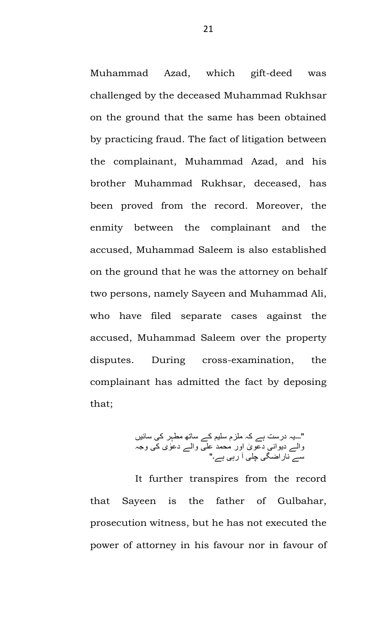Muhammad Azad, which gift-deed was challenged by the deceased Muhammad Rukhsar on the ground that the same has been obtained by practicing fraud. The fact of litigation between the complainant, Muhammad Azad, and his brother Muhammad Rukhsar, deceased, has been proved from the record. Moreover, the enmity between the complainant and the accused, Muhammad Saleem is also established on the ground that he was the attorney on behalf two persons, namely Sayeen and Muhammad Ali, who have filed separate cases against the accused, Muhammad Saleem over the property disputes. During cross-examination, the complainant has admitted the fact by deposing that;

"۔۔۔یہ درست ہے کہ ملزم سلیم کے ساتھ مطہر کی سائیں والے دیوانی دعو ٰی اور محمد علی والے دعٰوی کی وجہ سے ناراضگی چلی آ رہی ہے۔"

It further transpires from the record that Sayeen is the father of Gulbahar, prosecution witness, but he has not executed the power of attorney in his favour nor in favour of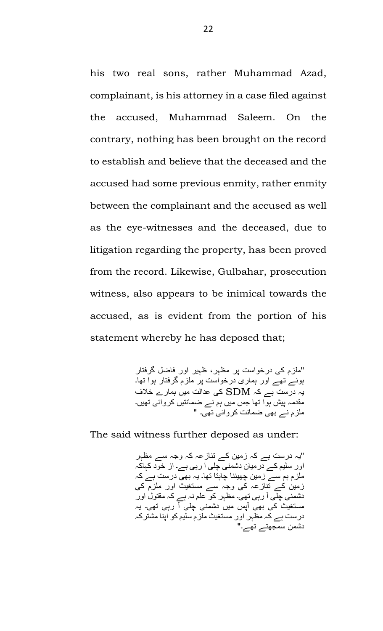his two real sons, rather Muhammad Azad, complainant, is his attorney in a case filed against the accused, Muhammad Saleem. On the contrary, nothing has been brought on the record to establish and believe that the deceased and the accused had some previous enmity, rather enmity between the complainant and the accused as well as the eye-witnesses and the deceased, due to litigation regarding the property, has been proved from the record. Likewise, Gulbahar, prosecution witness, also appears to be inimical towards the accused, as is evident from the portion of his statement whereby he has deposed that;

> " ملزم کی درخواست پر مظہر، ظہیر اور فاضل گرفتار ہوئے تھے اور ہماری درخواست پر ملزم گرفتار ہوا تھا۔ یہ درست ہے کہ SDM کی عدالت میں ہمارے خالف مقدمہ پیش ہوا تھا جس میں ہم نے ضمانتیں کروائی تھیں۔ ملزم نے بھی ضمانت کروائی تھی۔ "

The said witness further deposed as under:

" یہ درست ہے کہ زمین کے تنازعہ کہ وجہ سے مظہر اور سلیم کے درمیان دشمنی چلی آ رہی ہے۔ از خود کہاکہ ملزم ہم سے زمین چھیننا چاہتا تھا۔ یہ بھی درست ہے کہ زمین کے تنازعہ کی وجہ سے مستغیث اور ملزم کی دشمنی چلی آ رہی تھی۔ مظہر کو علم نہ ہے کہ مقتول اور مستغیث کی بھی آپس میں دشمنی چلی آ رہی تھی۔ یہ درست ہے کہ مظہر اور مستغیث ملزم سلیم کو اپنا مشترکہ دشمن سمجھتے تھے۔"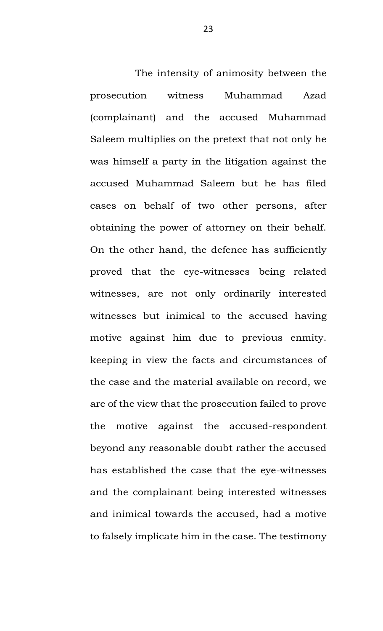The intensity of animosity between the prosecution witness Muhammad Azad (complainant) and the accused Muhammad Saleem multiplies on the pretext that not only he was himself a party in the litigation against the accused Muhammad Saleem but he has filed cases on behalf of two other persons, after obtaining the power of attorney on their behalf. On the other hand, the defence has sufficiently proved that the eye-witnesses being related witnesses, are not only ordinarily interested witnesses but inimical to the accused having motive against him due to previous enmity. keeping in view the facts and circumstances of the case and the material available on record, we are of the view that the prosecution failed to prove the motive against the accused-respondent beyond any reasonable doubt rather the accused has established the case that the eye-witnesses and the complainant being interested witnesses and inimical towards the accused, had a motive to falsely implicate him in the case. The testimony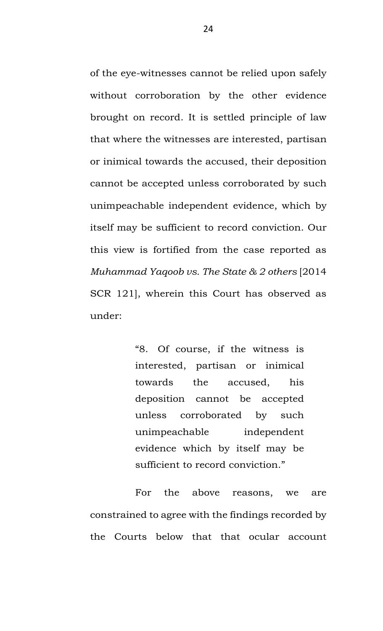of the eye-witnesses cannot be relied upon safely without corroboration by the other evidence brought on record. It is settled principle of law that where the witnesses are interested, partisan or inimical towards the accused, their deposition cannot be accepted unless corroborated by such unimpeachable independent evidence, which by itself may be sufficient to record conviction. Our this view is fortified from the case reported as *Muhammad Yaqoob vs. The State & 2 others* [2014 SCR 121], wherein this Court has observed as under:

> "8. Of course, if the witness is interested, partisan or inimical towards the accused, his deposition cannot be accepted unless corroborated by such unimpeachable independent evidence which by itself may be sufficient to record conviction."

For the above reasons, we are constrained to agree with the findings recorded by the Courts below that that ocular account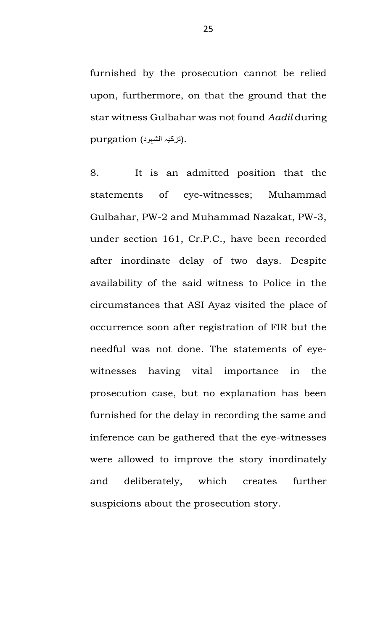furnished by the prosecution cannot be relied upon, furthermore, on that the ground that the star witness Gulbahar was not found *Aadil* during .)تزکیہ الشہود( purgation

8. It is an admitted position that the statements of eye-witnesses; Muhammad Gulbahar, PW-2 and Muhammad Nazakat, PW-3, under section 161, Cr.P.C., have been recorded after inordinate delay of two days. Despite availability of the said witness to Police in the circumstances that ASI Ayaz visited the place of occurrence soon after registration of FIR but the needful was not done. The statements of eyewitnesses having vital importance in the prosecution case, but no explanation has been furnished for the delay in recording the same and inference can be gathered that the eye-witnesses were allowed to improve the story inordinately and deliberately, which creates further suspicions about the prosecution story.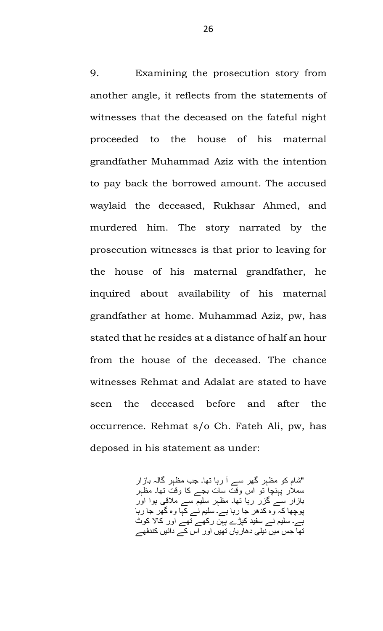9. Examining the prosecution story from another angle, it reflects from the statements of witnesses that the deceased on the fateful night proceeded to the house of his maternal grandfather Muhammad Aziz with the intention to pay back the borrowed amount. The accused waylaid the deceased, Rukhsar Ahmed, and murdered him. The story narrated by the prosecution witnesses is that prior to leaving for the house of his maternal grandfather, he inquired about availability of his maternal grandfather at home. Muhammad Aziz, pw, has stated that he resides at a distance of half an hour from the house of the deceased. The chance witnesses Rehmat and Adalat are stated to have seen the deceased before and after the occurrence. Rehmat s/o Ch. Fateh Ali, pw, has deposed in his statement as under:

> "شام کو مظہر گھر سے آ رہا تھا۔ جب مظہر گالہ بازار سملار پہنچا تو اس وقت سات بجے کا وقت تھا۔ مظہر بازار سے گزر رہا تھا۔ مظہر سلیم سے مالقی ہوا اور پوچھا کہ وہ کدھر جا رہا ہے۔ سلیم نے کہا وہ گھر جا رہا ہے۔ سلیم نے سفید کپڑے پہن رکھے تھے اور کاال کوٹ تھا جس میں نیلی دھاریاں تھیں اور اس کے دائیں کندفھے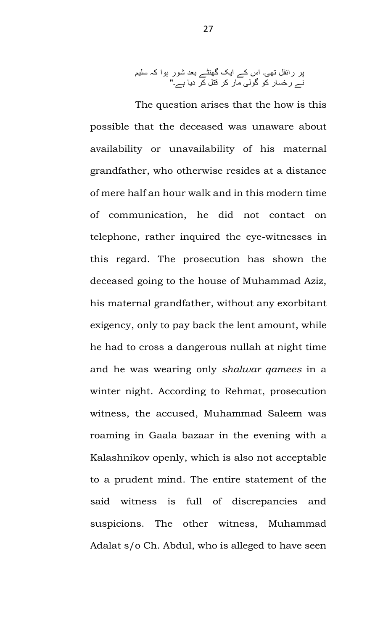پر رائفل تھی۔ اس کے ایک گھنٹے بعد شور ہوا کہ سلیم نے رخسار کو گولی مار کر قتل کر دیا ہے۔"

The question arises that the how is this possible that the deceased was unaware about availability or unavailability of his maternal grandfather, who otherwise resides at a distance of mere half an hour walk and in this modern time of communication, he did not contact on telephone, rather inquired the eye-witnesses in this regard. The prosecution has shown the deceased going to the house of Muhammad Aziz, his maternal grandfather, without any exorbitant exigency, only to pay back the lent amount, while he had to cross a dangerous nullah at night time and he was wearing only *shalwar qamees* in a winter night. According to Rehmat, prosecution witness, the accused, Muhammad Saleem was roaming in Gaala bazaar in the evening with a Kalashnikov openly, which is also not acceptable to a prudent mind. The entire statement of the said witness is full of discrepancies and suspicions. The other witness, Muhammad Adalat s/o Ch. Abdul, who is alleged to have seen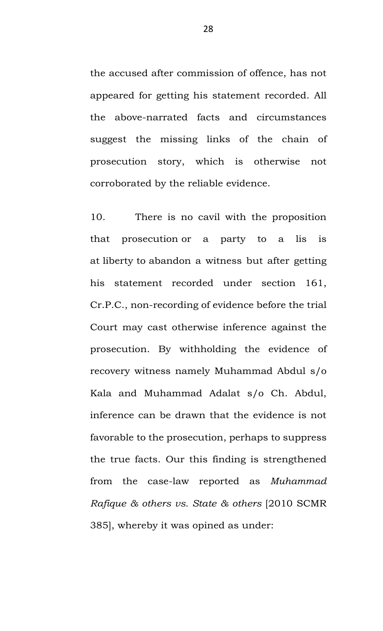the accused after commission of offence, has not appeared for getting his statement recorded. All the above-narrated facts and circumstances suggest the missing links of the chain of prosecution story, which is otherwise not corroborated by the reliable evidence.

10. There is no cavil with the proposition that prosecution or a party to a lis is at liberty to abandon a witness but after getting his statement recorded under section 161, Cr.P.C., non-recording of evidence before the trial Court may cast otherwise inference against the prosecution. By withholding the evidence of recovery witness namely Muhammad Abdul s/o Kala and Muhammad Adalat s/o Ch. Abdul, inference can be drawn that the evidence is not favorable to the prosecution, perhaps to suppress the true facts. Our this finding is strengthened from the case-law reported as *Muhammad Rafique & others vs. State & others* [2010 SCMR 385], whereby it was opined as under: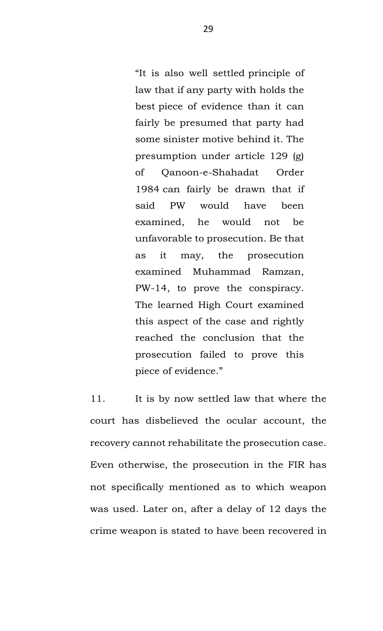"It is also well settled principle of law that if any party with holds the best piece of evidence than it can fairly be presumed that party had some sinister motive behind it. The presumption under article 129 (g) of Qanoon-e-Shahadat Order 1984 can fairly be drawn that if said PW would have been examined, he would not be unfavorable to prosecution. Be that as it may, the prosecution examined Muhammad Ramzan, PW-14, to prove the conspiracy. The learned High Court examined this aspect of the case and rightly reached the conclusion that the prosecution failed to prove this piece of evidence."

11. It is by now settled law that where the court has disbelieved the ocular account, the recovery cannot rehabilitate the prosecution case. Even otherwise, the prosecution in the FIR has not specifically mentioned as to which weapon was used. Later on, after a delay of 12 days the crime weapon is stated to have been recovered in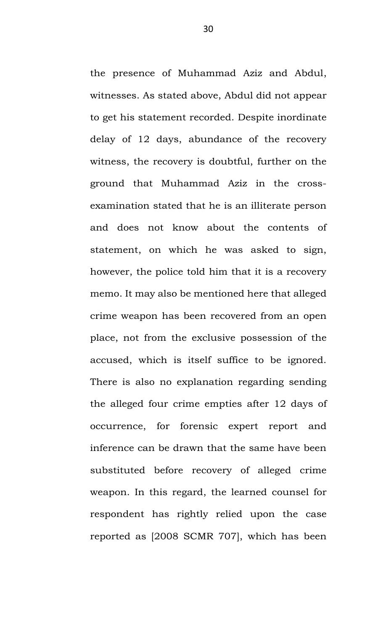the presence of Muhammad Aziz and Abdul, witnesses. As stated above, Abdul did not appear to get his statement recorded. Despite inordinate delay of 12 days, abundance of the recovery witness, the recovery is doubtful, further on the ground that Muhammad Aziz in the crossexamination stated that he is an illiterate person and does not know about the contents of statement, on which he was asked to sign, however, the police told him that it is a recovery memo. It may also be mentioned here that alleged crime weapon has been recovered from an open place, not from the exclusive possession of the accused, which is itself suffice to be ignored. There is also no explanation regarding sending the alleged four crime empties after 12 days of occurrence, for forensic expert report and inference can be drawn that the same have been substituted before recovery of alleged crime weapon. In this regard, the learned counsel for respondent has rightly relied upon the case reported as [2008 SCMR 707], which has been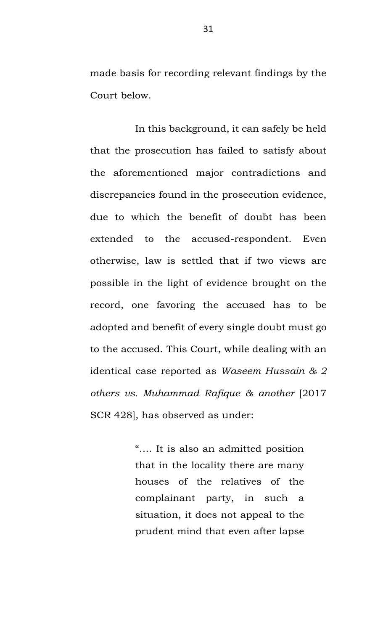made basis for recording relevant findings by the Court below.

In this background, it can safely be held that the prosecution has failed to satisfy about the aforementioned major contradictions and discrepancies found in the prosecution evidence, due to which the benefit of doubt has been extended to the accused-respondent. Even otherwise, law is settled that if two views are possible in the light of evidence brought on the record, one favoring the accused has to be adopted and benefit of every single doubt must go to the accused. This Court, while dealing with an identical case reported as *Waseem Hussain & 2 others vs. Muhammad Rafique & another* [2017 SCR 428], has observed as under:

> "…. It is also an admitted position that in the locality there are many houses of the relatives of the complainant party, in such a situation, it does not appeal to the prudent mind that even after lapse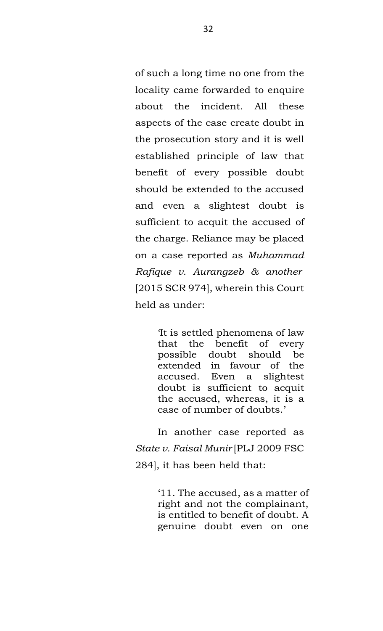of such a long time no one from the locality came forwarded to enquire about the incident. All these aspects of the case create doubt in the prosecution story and it is well established principle of law that benefit of every possible doubt should be extended to the accused and even a slightest doubt is sufficient to acquit the accused of the charge. Reliance may be placed on a case reported as *Muhammad Rafique v. Aurangzeb & another* [2015 SCR 974], wherein this Court held as under:

> 'It is settled phenomena of law that the benefit of every possible doubt should be extended in favour of the accused. Even a slightest doubt is sufficient to acquit the accused, whereas, it is a case of number of doubts.'

In another case reported as *State v. Faisal Munir* [PLJ 2009 FSC 284], it has been held that:

> '11. The accused, as a matter of right and not the complainant, is entitled to benefit of doubt. A genuine doubt even on one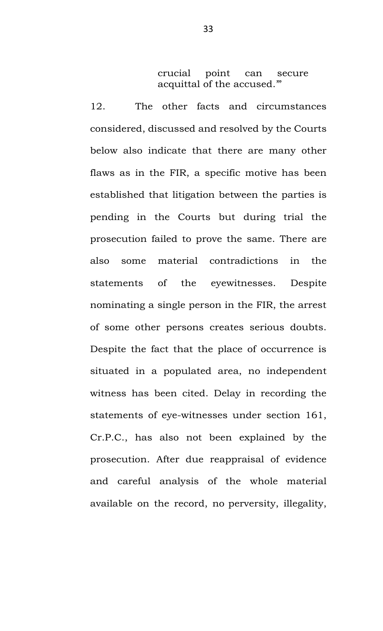crucial point can secure acquittal of the accused.'"

12. The other facts and circumstances considered, discussed and resolved by the Courts below also indicate that there are many other flaws as in the FIR, a specific motive has been established that litigation between the parties is pending in the Courts but during trial the prosecution failed to prove the same. There are also some material contradictions in the statements of the eyewitnesses. Despite nominating a single person in the FIR, the arrest of some other persons creates serious doubts. Despite the fact that the place of occurrence is situated in a populated area, no independent witness has been cited. Delay in recording the statements of eye-witnesses under section 161, Cr.P.C., has also not been explained by the prosecution. After due reappraisal of evidence and careful analysis of the whole material available on the record, no perversity, illegality,